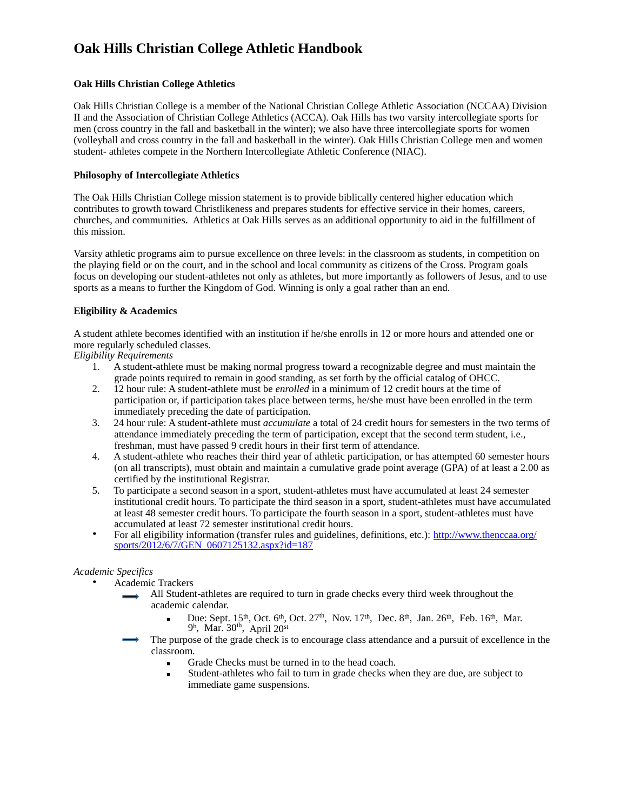# **Oak Hills Christian College Athletic Handbook**

# **Oak Hills Christian College Athletics**

Oak Hills Christian College is a member of the National Christian College Athletic Association (NCCAA) Division II and the Association of Christian College Athletics (ACCA). Oak Hills has two varsity intercollegiate sports for men (cross country in the fall and basketball in the winter); we also have three intercollegiate sports for women (volleyball and cross country in the fall and basketball in the winter). Oak Hills Christian College men and women student- athletes compete in the Northern Intercollegiate Athletic Conference (NIAC).

# **Philosophy of Intercollegiate Athletics**

The Oak Hills Christian College mission statement is to provide biblically centered higher education which contributes to growth toward Christlikeness and prepares students for effective service in their homes, careers, churches, and communities. Athletics at Oak Hills serves as an additional opportunity to aid in the fulfillment of this mission.

Varsity athletic programs aim to pursue excellence on three levels: in the classroom as students, in competition on the playing field or on the court, and in the school and local community as citizens of the Cross. Program goals focus on developing our student-athletes not only as athletes, but more importantly as followers of Jesus, and to use sports as a means to further the Kingdom of God. Winning is only a goal rather than an end.

# **Eligibility & Academics**

A student athlete becomes identified with an institution if he/she enrolls in 12 or more hours and attended one or more regularly scheduled classes.

*Eligibility Requirements*

- 1. A student-athlete must be making normal progress toward a recognizable degree and must maintain the grade points required to remain in good standing, as set forth by the official catalog of OHCC.
- 2. 12 hour rule: A student-athlete must be *enrolled* in a minimum of 12 credit hours at the time of participation or, if participation takes place between terms, he/she must have been enrolled in the term immediately preceding the date of participation.
- 3. 24 hour rule: A student-athlete must *accumulate* a total of 24 credit hours for semesters in the two terms of attendance immediately preceding the term of participation, except that the second term student, i.e., freshman, must have passed 9 credit hours in their first term of attendance.
- 4. A student-athlete who reaches their third year of athletic participation, or has attempted 60 semester hours (on all transcripts), must obtain and maintain a cumulative grade point average (GPA) of at least a 2.00 as certified by the institutional Registrar.
- 5. To participate a second season in a sport, student-athletes must have accumulated at least 24 semester institutional credit hours. To participate the third season in a sport, student-athletes must have accumulated at least 48 semester credit hours. To participate the fourth season in a sport, student-athletes must have accumulated at least 72 semester institutional credit hours.
- For all eligibility information (transfer rules and guidelines, definitions, etc.):<http://www.thenccaa.org/> sports/2012/6/7/GEN\_0607125132.aspx?id=187

# *Academic Specifics*

- Academic Trackers
	- All Student-athletes are required to turn in grade checks every third week throughout the academic calendar.
		- Due: Sept. 15<sup>th</sup>, Oct. 6<sup>th</sup>, Oct. 27<sup>th</sup>, Nov. 17<sup>th</sup>, Dec. 8<sup>th</sup>, Jan. 26<sup>th</sup>, Feb. 16<sup>th</sup>, Mar. 9<sup>h</sup>, Mar. 30<sup>th</sup>, April 20<sup>st</sup>
	- The purpose of the grade check is to encourage class attendance and a pursuit of excellence in the classroom.
		- Grade Checks must be turned in to the head coach.
		- Student-athletes who fail to turn in grade checks when they are due, are subject to immediate game suspensions.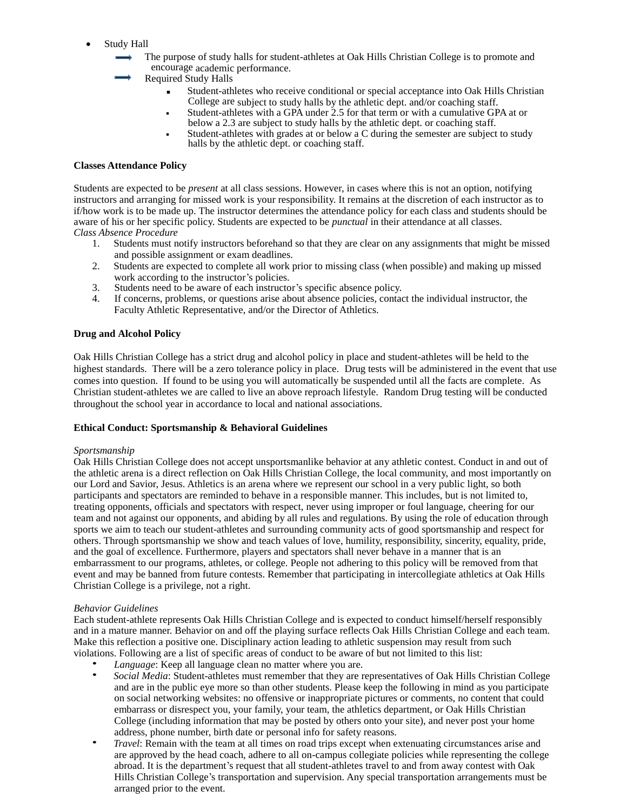- Study Hall
	- The purpose of study halls for student-athletes at Oak Hills Christian College is to promote and encourage academic performance.
	- Required Study Halls
		- Student-athletes who receive conditional or special acceptance into Oak Hills Christian College are subject to study halls by the athletic dept. and/or coaching staff.
		- Student-athletes with a GPA under 2.5 for that term or with a cumulative GPA at or below a 2.3 are subject to study halls by the athletic dept. or coaching staff.
		- Student-athletes with grades at or below a C during the semester are subject to study halls by the athletic dept. or coaching staff.

## **Classes Attendance Policy**

Students are expected to be *present* at all class sessions. However, in cases where this is not an option, notifying instructors and arranging for missed work is your responsibility. It remains at the discretion of each instructor as to if/how work is to be made up. The instructor determines the attendance policy for each class and students should be aware of his or her specific policy. Students are expected to be *punctual* in their attendance at all classes. *Class Absence Procedure*

- 1. Students must notify instructors beforehand so that they are clear on any assignments that might be missed and possible assignment or exam deadlines.
- 2. Students are expected to complete all work prior to missing class (when possible) and making up missed work according to the instructor's policies.
- 3. Students need to be aware of each instructor's specific absence policy.
- 4. If concerns, problems, or questions arise about absence policies, contact the individual instructor, the Faculty Athletic Representative, and/or the Director of Athletics.

## **Drug and Alcohol Policy**

Oak Hills Christian College has a strict drug and alcohol policy in place and student-athletes will be held to the highest standards. There will be a zero tolerance policy in place. Drug tests will be administered in the event that use comes into question. If found to be using you will automatically be suspended until all the facts are complete. As Christian student-athletes we are called to live an above reproach lifestyle. Random Drug testing will be conducted throughout the school year in accordance to local and national associations.

# **Ethical Conduct: Sportsmanship & Behavioral Guidelines**

## *Sportsmanship*

Oak Hills Christian College does not accept unsportsmanlike behavior at any athletic contest. Conduct in and out of the athletic arena is a direct reflection on Oak Hills Christian College, the local community, and most importantly on our Lord and Savior, Jesus. Athletics is an arena where we represent our school in a very public light, so both participants and spectators are reminded to behave in a responsible manner. This includes, but is not limited to, treating opponents, officials and spectators with respect, never using improper or foul language, cheering for our team and not against our opponents, and abiding by all rules and regulations. By using the role of education through sports we aim to teach our student-athletes and surrounding community acts of good sportsmanship and respect for others. Through sportsmanship we show and teach values of love, humility, responsibility, sincerity, equality, pride, and the goal of excellence. Furthermore, players and spectators shall never behave in a manner that is an embarrassment to our programs, athletes, or college. People not adhering to this policy will be removed from that event and may be banned from future contests. Remember that participating in intercollegiate athletics at Oak Hills Christian College is a privilege, not a right.

## *Behavior Guidelines*

Each student-athlete represents Oak Hills Christian College and is expected to conduct himself/herself responsibly and in a mature manner. Behavior on and off the playing surface reflects Oak Hills Christian College and each team. Make this reflection a positive one. Disciplinary action leading to athletic suspension may result from such violations. Following are a list of specific areas of conduct to be aware of but not limited to this list:

- *Language*: Keep all language clean no matter where you are.
- *Social Media*: Student-athletes must remember that they are representatives of Oak Hills Christian College and are in the public eye more so than other students. Please keep the following in mind as you participate on social networking websites: no offensive or inappropriate pictures or comments, no content that could embarrass or disrespect you, your family, your team, the athletics department, or Oak Hills Christian College (including information that may be posted by others onto your site), and never post your home address, phone number, birth date or personal info for safety reasons.
- *Travel*: Remain with the team at all times on road trips except when extenuating circumstances arise and are approved by the head coach, adhere to all on-campus collegiate policies while representing the college abroad. It is the department's request that all student-athletes travel to and from away contest with Oak Hills Christian College's transportation and supervision. Any special transportation arrangements must be arranged prior to the event.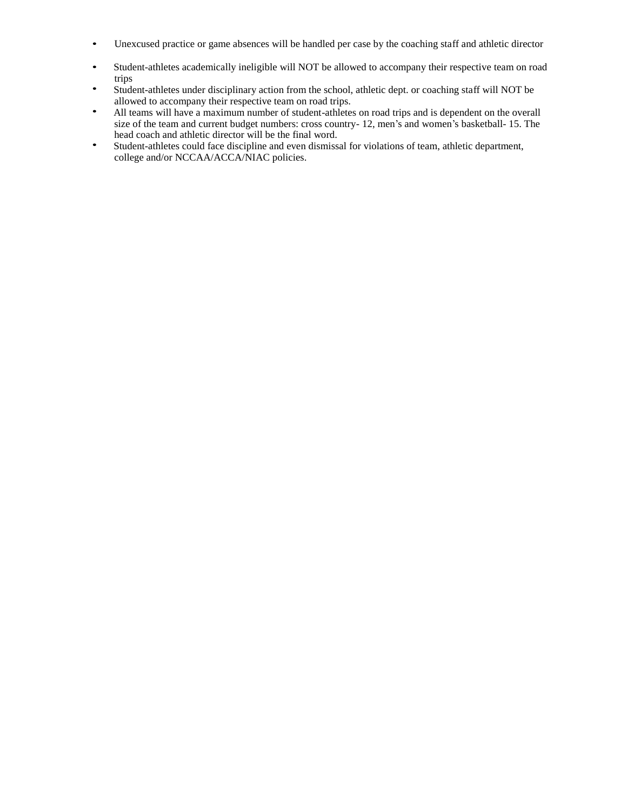- Unexcused practice or game absences will be handled per case by the coaching staff and athletic director
- Student-athletes academically ineligible will NOT be allowed to accompany their respective team on road trips
- Student-athletes under disciplinary action from the school, athletic dept. or coaching staff will NOT be allowed to accompany their respective team on road trips.
- All teams will have a maximum number of student-athletes on road trips and is dependent on the overall size of the team and current budget numbers: cross country- 12, men's and women's basketball- 15. The head coach and athletic director will be the final word.
- Student-athletes could face discipline and even dismissal for violations of team, athletic department, college and/or NCCAA/ACCA/NIAC policies.